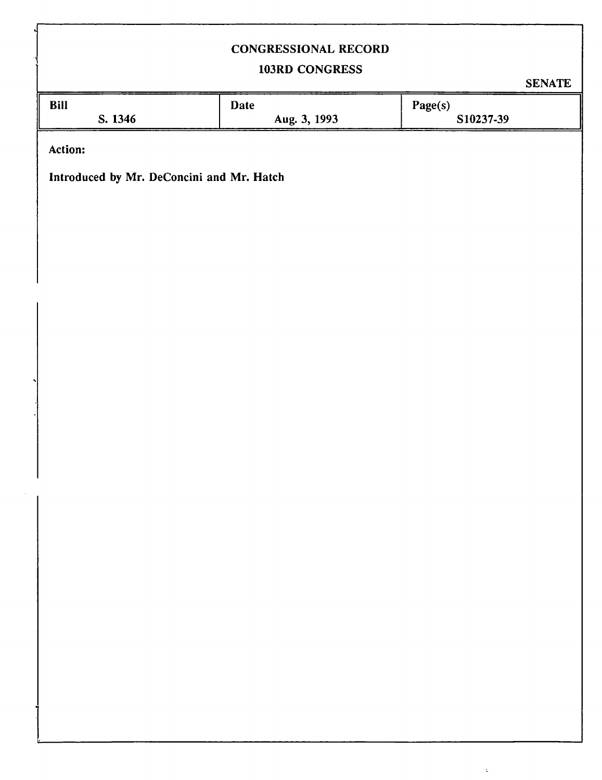## CONGRESSIONAL RECORD

## 103RD CONGRESS

 $\zeta$ 

|                                           |              | <b>SENATE</b> |
|-------------------------------------------|--------------|---------------|
| Bill                                      | Date         | Page(s)       |
| S. 1346                                   | Aug. 3, 1993 | S10237-39     |
| Action:                                   |              |               |
|                                           |              |               |
| Introduced by Mr. DeConcini and Mr. Hatch |              |               |
|                                           |              |               |
|                                           |              |               |
|                                           |              |               |
|                                           |              |               |
|                                           |              |               |
|                                           |              |               |
|                                           |              |               |
|                                           |              |               |
|                                           |              |               |
|                                           |              |               |
|                                           |              |               |
|                                           |              |               |
|                                           |              |               |
|                                           |              |               |
|                                           |              |               |
|                                           |              |               |
|                                           |              |               |
|                                           |              |               |
|                                           |              |               |
|                                           |              |               |
|                                           |              |               |
|                                           |              |               |
|                                           |              |               |
|                                           |              |               |
|                                           |              |               |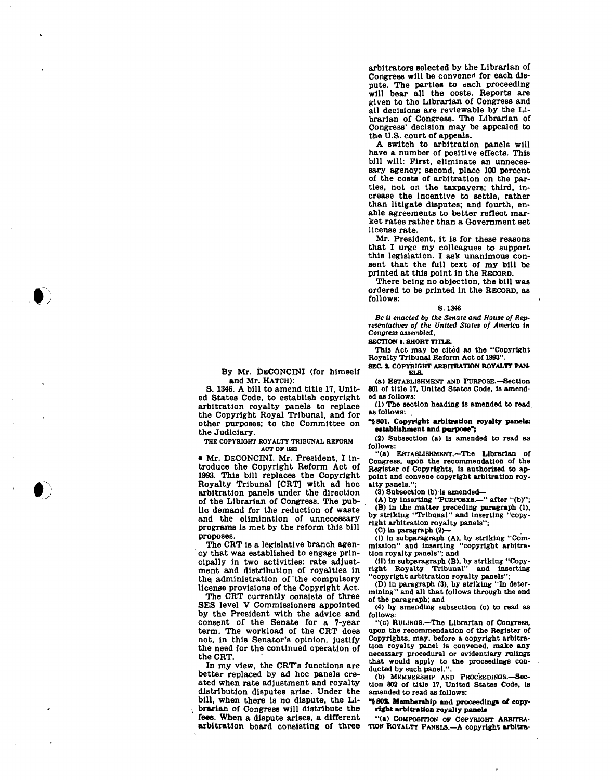**arbitrators Belected by the Librarian of Congress will be convened for each dispute. The parties to each proceeding will bear all the costs. Reports are given to the Librarian of Congress and all decisions are reviewable by the Librarian of Congress. The Librarian of Congress' decision may be appealed to the U.S. court of appeals.** 

**A switch to arbitration panels will have a number of positive effects. This bill will: First, eliminate an unnecessary agency; second, place 100 percent of the costs of arbitration on the parties, not on the taxpayers; third, increase the incentive to settle, rather than litigate disputes; and fourth, enable agreements to better reflect market rates rather than a Government set license rate.** 

**Mr. President, it Is for these reasons that I urge my colleagues to support this legislation. I ask unanimous consent that the full text of my bill be printed at this point In the RECORD.** 

**There being no objection, the bill was ordered to be printed in the RECORD, as follows:** 

## **8.1346**

*Be it enacted by the Senate and House of Representatives of the United States of America in Congress assembled.* 

**SECTION 1. SHORT TITLE.** 

**This Act may be cited as the "Copyright Royalty Tribunal Reform Act of 1993".** 

**SEC. 1. COPYRIGHT ARBITRATION ROYALTY PAN-ELS.** 

**(a) ESTABLISHMENT AND PURFOSE.—Section 801 of title 17, United States Code, Is amended as follows:** 

**(1) The section heading is amended to read, as follows:** 

**"5801. Copyright arbitration royalty panels: establishment and purpose";** 

**(2) Subsection (a) Is amended to read as follows:** 

**"(a) ESTABLISHMENT.—The Librarian of Congress, upon the recommendation of the Register of Copyrights, is authorized to appoint and convene copyright arbitration royalty panels.";** 

**(3) Subsection (b) Is amended—** 

**(A) by inserting "PURPOSES.—" after "(b)"; (B) in the matter preceding paragraph (1), by striking "Tribunal" and inserting "copy-**

**right arbitration royalty panels";** 

**(C) in paragraph (2)—** 

**(I) In subparagraph (A), by striking "Com-mission" and Inserting "copyright arbitra-tion royalty panels"; and** 

**(II) In subparagraph (B). by striking "Copyright Royalty Tribunal" and Inserting "copyright arbitration royalty panels";** 

**(D) In paragraph (3). by striking "In deter-mining" and all that follows through the end of the paragraph; and** 

**(4) by amending subsection (c) to read as follows:** 

**"(c) RUUNOS.—The Librarian of Congress, upon the recommendation of the Register of Copyrights, may, before a copyright arbitration royalty panel is convened, make any necessary procedural or evidentiary rulings that would apply to the proceedings con-ducted by such panel.".** 

**(b) MEMBERSHIP AND PROCEEDINGS.—Section 802 of title 17. United States Code, Is amended to read as follows:** 

*"i* **80S. Membership and proceedings of copyright arbitration royalty panels** 

**"(a) COMPOSITION OP COPYRIGHT ARBITRA-TION ROYALTY PANELS.—A copyright arbltra-**

**By Mr. DECONCINI (for himself and Mr. HATCH):** 

**S. 1346. A bill to amend title 17, United States Code, to establish copyright arbitration royalty panels to replace the Copyright Royal Tribunal, and for other purposes; to the Committee on the Judiciary.** 

**THE COPYRIOHT ROYALTY TRIBUNAL REFORM ACT OF 1893** 

**• Mr. DECONCINI. Mr. President, I introduce the Copyright Reform Act of 1993. This bill replaces the Copyright Royalty Tribunal [CRT] with ad hoc arbitration panels under the direction of the Librarian of Congress. The public demand for the reduction of waste and the elimination of unnecessary programs is met by the reform this bill proposes.** 

**The CRT is a legislative branch agency that was established to engage principally in two activities: rate adjustment and distribution of royalties in the administration of the compulsory license provisions of the Copyright Act.** 

**The CRT currently consists of three SES level V Commissioners appointed by the President with the advice and consent of the Senate for a 7-year term. The workload of the CRT does not, in this Senator's opinion, Justify the need for the continued operation of the CRT.** 

**In my view, the CRT's functions are better replaced by ad hoc panels created when rate adjustment and royalty distribution disputes arise. Under the bill, when there Is no dispute, the Librarian of Congress will distribute the feee. When a dispute arises, a different arbitration board consisting of three**